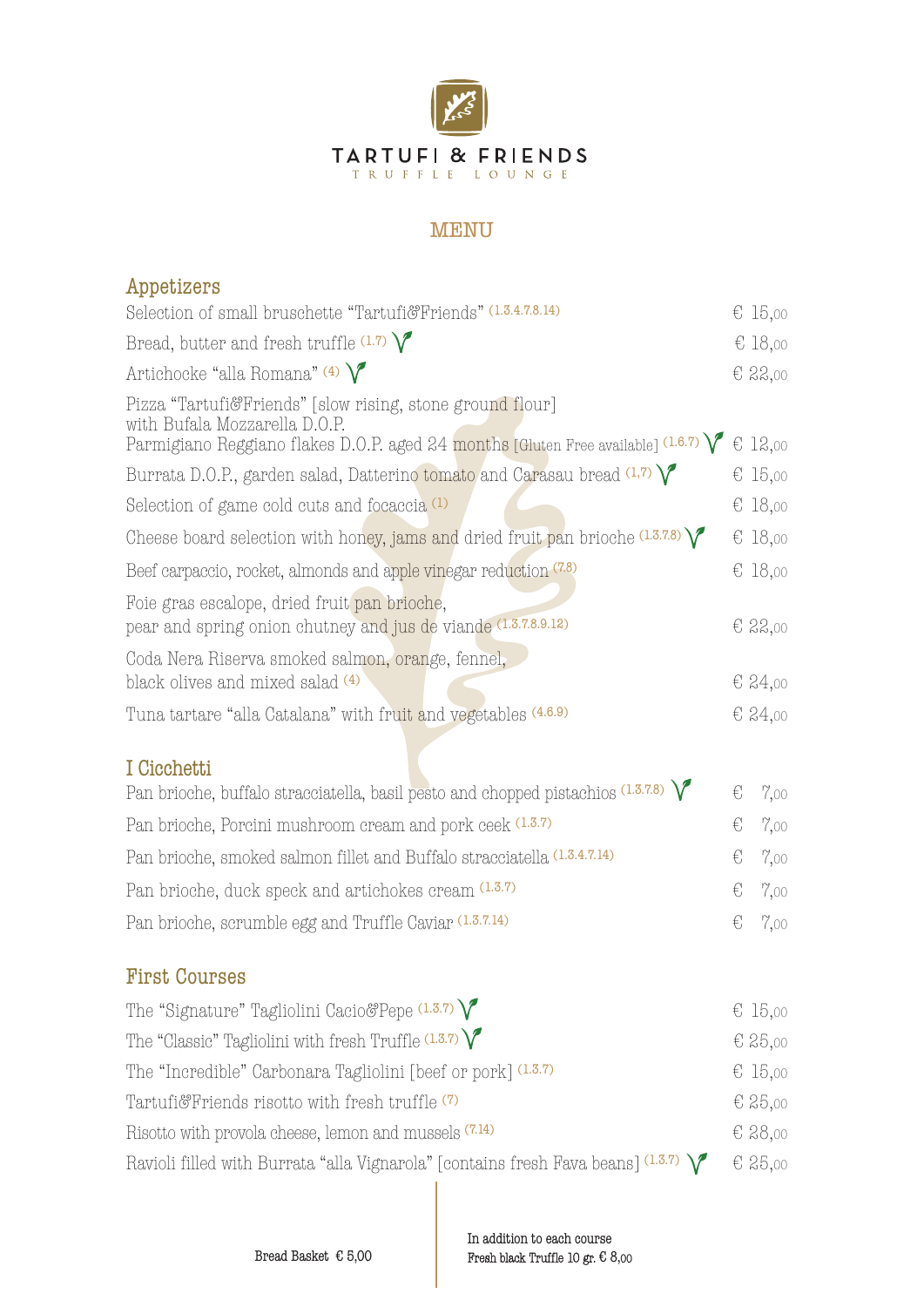

## MENU

| Appetizers                                                                                                                                                                       |   |           |
|----------------------------------------------------------------------------------------------------------------------------------------------------------------------------------|---|-----------|
| Selection of small bruschette "Tartufi&Friends" (1.3.4.7.8.14)                                                                                                                   |   | € 15,00   |
| Bread, butter and fresh truffle $(1.7)$                                                                                                                                          |   | € 18,00   |
| Artichocke "alla Romana" (4) $\bigvee$                                                                                                                                           |   | € 22,00   |
| Pizza "Tartufi&Friends" [slow rising, stone ground flour]<br>with Bufala Mozzarella D.O.P.<br>Parmigiano Reggiano flakes D.O.P. aged 24 months [Gluten Free available] $(1.6.7)$ |   | € 12,00   |
| Burrata D.O.P., garden salad, Datterino tomato and Carasau bread $(1,7)$                                                                                                         |   | € 15,00   |
| Selection of game cold cuts and focaccia <sup>(1)</sup>                                                                                                                          |   | € 18,00   |
| Cheese board selection with honey, jams and dried fruit pan brioche $(1.3.7.8)$                                                                                                  |   | € 18,00   |
| Beef carpaccio, rocket, almonds and apple vinegar reduction (7.8)                                                                                                                |   | € 18,00   |
| Foie gras escalope, dried fruit pan brioche,<br>pear and spring onion chutney and jus de viande (1.3.7.8.9.12)                                                                   |   | $E$ 22,00 |
| Coda Nera Riserva smoked salmon, orange, fennel,<br>black olives and mixed salad (4)                                                                                             |   | € 24,00   |
| Tuna tartare "alla Catalana" with fruit and vegetables (4.6.9)                                                                                                                   |   | € 24,00   |
| I Cicchetti<br>Pan brioche, buffalo stracciatella, basil pesto and chopped pistachios $(1.3.7.8)$                                                                                | € | 7,00      |
| Pan brioche, Porcini mushroom cream and pork ceek (1.3.7)                                                                                                                        | € | 7,00      |
| Pan brioche, smoked salmon fillet and Buffalo stracciatella (1.3.4.7.14)                                                                                                         | € | 7,00      |
| Pan brioche, duck speck and artichokes cream (1.3.7)                                                                                                                             | € | 7,00      |
| Pan brioche, scrumble egg and Truffle Caviar (1.3.7.14)                                                                                                                          | € | 7,00      |
| <b>First Courses</b>                                                                                                                                                             |   |           |
| The "Signature" Tagliolini Cacio&Pepe $(1.3.7)$                                                                                                                                  |   | € 15,00   |
| The "Classic" Tagliolini with fresh Truffle $(1.3.7)\sqrt{\ }$                                                                                                                   |   | € 25,00   |
| The "Incredible" Carbonara Tagliolini [beef or pork] (1.3.7)                                                                                                                     |   | € 15,00   |
| Tartufi&Friends risotto with fresh truffle (7)                                                                                                                                   |   | € 25,00   |
| Risotto with provola cheese, lemon and mussels (7.14)                                                                                                                            |   | € 28,00   |
| Ravioli filled with Burrata "alla Vignarola" [contains fresh Fava beans] $(1.3.7)$                                                                                               |   | € 25,00   |